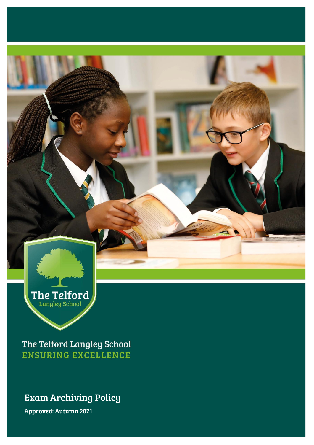

The Telford Langley School **ENSURING EXCELLENCE** 

### Exam Archiving Policy

Approved: Autumn 2021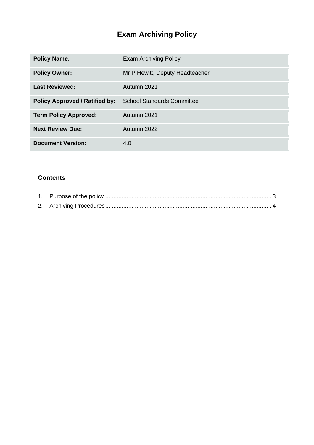## **Exam Archiving Policy**

| <b>Policy Name:</b>            | <b>Exam Archiving Policy</b>      |
|--------------------------------|-----------------------------------|
| <b>Policy Owner:</b>           | Mr P Hewitt, Deputy Headteacher   |
| <b>Last Reviewed:</b>          | Autumn 2021                       |
| Policy Approved \ Ratified by: | <b>School Standards Committee</b> |
| <b>Term Policy Approved:</b>   | Autumn 2021                       |
| <b>Next Review Due:</b>        | Autumn 2022                       |
| <b>Document Version:</b>       | 4.0                               |

#### **Contents**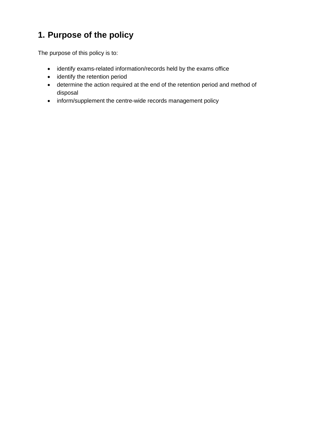## <span id="page-2-0"></span>**1. Purpose of the policy**

The purpose of this policy is to:

- identify exams-related information/records held by the exams office
- identify the retention period
- determine the action required at the end of the retention period and method of disposal
- inform/supplement the centre-wide records management policy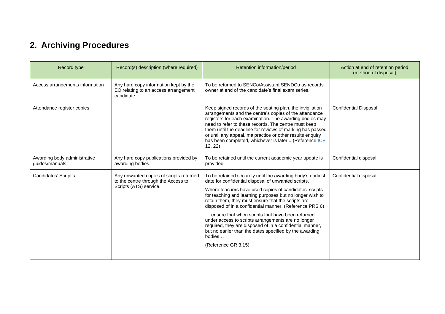# **2. Archiving Procedures**

<span id="page-3-0"></span>

| Record type                                    | Record(s) description (where required)                                                                   | Retention information/period                                                                                                                                                                                                                                                                                                                                                                                                                                                                                                                                                                                               | Action at end of retention period<br>(method of disposal) |
|------------------------------------------------|----------------------------------------------------------------------------------------------------------|----------------------------------------------------------------------------------------------------------------------------------------------------------------------------------------------------------------------------------------------------------------------------------------------------------------------------------------------------------------------------------------------------------------------------------------------------------------------------------------------------------------------------------------------------------------------------------------------------------------------------|-----------------------------------------------------------|
| Access arrangements information                | Any hard copy information kept by the<br>EO relating to an access arrangement<br>candidate.              | To be returned to SENCo/Assistant SENDCo as records<br>owner at end of the candidate's final exam series.                                                                                                                                                                                                                                                                                                                                                                                                                                                                                                                  |                                                           |
| Attendance register copies                     |                                                                                                          | Keep signed records of the seating plan, the invigilation<br>arrangements and the centre's copies of the attendance<br>registers for each examination. The awarding bodies may<br>need to refer to these records. The centre must keep<br>them until the deadline for reviews of marking has passed<br>or until any appeal, malpractice or other results enquiry<br>has been completed, whichever is later (Reference ICE<br>12, 22)                                                                                                                                                                                       | <b>Confidential Disposal</b>                              |
| Awarding body administrative<br>guides/manuals | Any hard copy publications provided by<br>awarding bodies.                                               | To be retained until the current academic year update is<br>provided.                                                                                                                                                                                                                                                                                                                                                                                                                                                                                                                                                      | Confidential disposal                                     |
| Candidates' Script's                           | Any unwanted copies of scripts returned<br>to the centre through the Access to<br>Scripts (ATS) service. | To be retained securely until the awarding body's earliest<br>date for confidential disposal of unwanted scripts.<br>Where teachers have used copies of candidates' scripts<br>for teaching and learning purposes but no longer wish to<br>retain them, they must ensure that the scripts are<br>disposed of in a confidential manner. (Reference PRS 6)<br>ensure that when scripts that have been returned<br>under access to scripts arrangements are no longer<br>required, they are disposed of in a confidential manner,<br>but no earlier than the dates specified by the awarding<br>bodies<br>(Reference GR 3.15) | Confidential disposal                                     |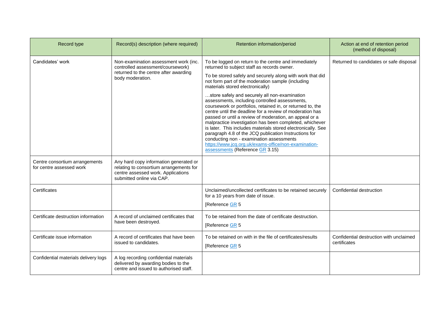| Record type                                                | Record(s) description (where required)                                                                                                               | Retention information/period                                                                                                                                                                                                                                                                                                                                                                                                                                                                                                                                                                                   | Action at end of retention period<br>(method of disposal) |
|------------------------------------------------------------|------------------------------------------------------------------------------------------------------------------------------------------------------|----------------------------------------------------------------------------------------------------------------------------------------------------------------------------------------------------------------------------------------------------------------------------------------------------------------------------------------------------------------------------------------------------------------------------------------------------------------------------------------------------------------------------------------------------------------------------------------------------------------|-----------------------------------------------------------|
| Candidates' work                                           | Non-examination assessment work (inc.<br>controlled assessment/coursework)                                                                           | To be logged on return to the centre and immediately<br>returned to subject staff as records owner.                                                                                                                                                                                                                                                                                                                                                                                                                                                                                                            | Returned to candidates or safe disposal                   |
|                                                            | returned to the centre after awarding<br>body moderation.                                                                                            | To be stored safely and securely along with work that did<br>not form part of the moderation sample (including<br>materials stored electronically)                                                                                                                                                                                                                                                                                                                                                                                                                                                             |                                                           |
|                                                            |                                                                                                                                                      | store safely and securely all non-examination<br>assessments, including controlled assessments,<br>coursework or portfolios, retained in, or returned to, the<br>centre until the deadline for a review of moderation has<br>passed or until a review of moderation, an appeal or a<br>malpractice investigation has been completed, whichever<br>is later. This includes materials stored electronically. See<br>paragraph 4.8 of the JCQ publication Instructions for<br>conducting non - examination assessments<br>https://www.jcg.org.uk/exams-office/non-examination-<br>assessments (Reference GR 3.15) |                                                           |
| Centre consortium arrangements<br>for centre assessed work | Any hard copy information generated or<br>relating to consortium arrangements for<br>centre assessed work. Applications<br>submitted online via CAP. |                                                                                                                                                                                                                                                                                                                                                                                                                                                                                                                                                                                                                |                                                           |
| Certificates                                               |                                                                                                                                                      | Unclaimed/uncollected certificates to be retained securely<br>for a 10 years from date of issue.<br>[Reference GR 5                                                                                                                                                                                                                                                                                                                                                                                                                                                                                            | Confidential destruction                                  |
| Certificate destruction information                        | A record of unclaimed certificates that<br>have been destroyed.                                                                                      | To be retained from the date of certificate destruction.<br>[Reference GR 5                                                                                                                                                                                                                                                                                                                                                                                                                                                                                                                                    |                                                           |
| Certificate issue information                              | A record of certificates that have been<br>issued to candidates.                                                                                     | To be retained on with in the file of certificates/results<br>[Reference GR 5                                                                                                                                                                                                                                                                                                                                                                                                                                                                                                                                  | Confidential destruction with unclaimed<br>certificates   |
| Confidential materials delivery logs                       | A log recording confidential materials<br>delivered by awarding bodies to the<br>centre and issued to authorised staff.                              |                                                                                                                                                                                                                                                                                                                                                                                                                                                                                                                                                                                                                |                                                           |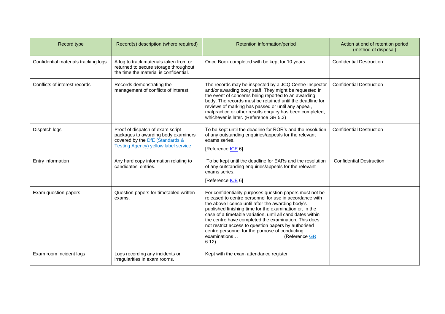| Record type                          | Record(s) description (where required)                                                                                                                    | Retention information/period                                                                                                                                                                                                                                                                                                                                                                                                                                                                                  | Action at end of retention period<br>(method of disposal) |
|--------------------------------------|-----------------------------------------------------------------------------------------------------------------------------------------------------------|---------------------------------------------------------------------------------------------------------------------------------------------------------------------------------------------------------------------------------------------------------------------------------------------------------------------------------------------------------------------------------------------------------------------------------------------------------------------------------------------------------------|-----------------------------------------------------------|
| Confidential materials tracking logs | A log to track materials taken from or<br>returned to secure storage throughout<br>the time the material is confidential.                                 | Once Book completed with be kept for 10 years                                                                                                                                                                                                                                                                                                                                                                                                                                                                 | <b>Confidential Destruction</b>                           |
| Conflicts of interest records        | Records demonstrating the<br>management of conflicts of interest                                                                                          | The records may be inspected by a JCQ Centre Inspector<br>and/or awarding body staff. They might be requested in<br>the event of concerns being reported to an awarding<br>body. The records must be retained until the deadline for<br>reviews of marking has passed or until any appeal,<br>malpractice or other results enquiry has been completed,<br>whichever is later. (Reference GR 5.3)                                                                                                              | <b>Confidential Destruction</b>                           |
| Dispatch logs                        | Proof of dispatch of exam script<br>packages to awarding body examiners<br>covered by the <b>DfE</b> (Standards &<br>Testing Agency) yellow label service | To be kept until the deadline for ROR's and the resolution<br>of any outstanding enquiries/appeals for the relevant<br>exams series.<br>[Reference <b>ICE</b> 6]                                                                                                                                                                                                                                                                                                                                              | <b>Confidential Destruction</b>                           |
| Entry information                    | Any hard copy information relating to<br>candidates' entries.                                                                                             | To be kept until the deadline for EARs and the resolution<br>of any outstanding enquiries/appeals for the relevant<br>exams series.<br>[Reference <b>ICE 6]</b>                                                                                                                                                                                                                                                                                                                                               | <b>Confidential Destruction</b>                           |
| Exam question papers                 | Question papers for timetabled written<br>exams.                                                                                                          | For confidentiality purposes question papers must not be<br>released to centre personnel for use in accordance with<br>the above licence until after the awarding body's<br>published finishing time for the examination or, in the<br>case of a timetable variation, until all candidates within<br>the centre have completed the examination. This does<br>not restrict access to question papers by authorised<br>centre personnel for the purpose of conducting<br>examinations<br>(Reference GR<br>6.12) |                                                           |
| Exam room incident logs              | Logs recording any incidents or<br>irregularities in exam rooms.                                                                                          | Kept with the exam attendance register                                                                                                                                                                                                                                                                                                                                                                                                                                                                        |                                                           |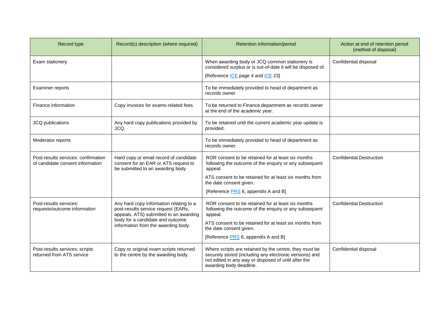| Record type                                                             | Record(s) description (where required)                                                                                                                                                              | Retention information/period                                                                                                                                                                         | Action at end of retention period<br>(method of disposal) |
|-------------------------------------------------------------------------|-----------------------------------------------------------------------------------------------------------------------------------------------------------------------------------------------------|------------------------------------------------------------------------------------------------------------------------------------------------------------------------------------------------------|-----------------------------------------------------------|
| Exam stationery                                                         |                                                                                                                                                                                                     | When awarding body or JCQ common stationery is<br>considered surplus or is out-of-date it will be disposed of.                                                                                       | Confidential disposal                                     |
|                                                                         |                                                                                                                                                                                                     | [Reference <b>ICE</b> page 4 and <b>ICE</b> 23]                                                                                                                                                      |                                                           |
| Examiner reports                                                        |                                                                                                                                                                                                     | To be immediately provided to head of department as<br>records owner.                                                                                                                                |                                                           |
| Finance information                                                     | Copy invoices for exams-related fees.                                                                                                                                                               | To be returned to Finance department as records owner<br>at the end of the academic year.                                                                                                            |                                                           |
| JCQ publications                                                        | Any hard copy publications provided by<br>JCQ.                                                                                                                                                      | To be retained until the current academic year update is<br>provided.                                                                                                                                |                                                           |
| Moderator reports                                                       |                                                                                                                                                                                                     | To be immediately provided to head of department as<br>records owner.                                                                                                                                |                                                           |
| Post-results services: confirmation<br>of candidate consent information | Hard copy or email record of candidate<br>consent for an EAR or ATS request to<br>be submitted to an awarding body                                                                                  | ROR consent to be retained for at least six months<br>following the outcome of the enquiry or any subsequent<br>appeal.                                                                              | <b>Confidential Destruction</b>                           |
|                                                                         |                                                                                                                                                                                                     | ATS consent to be retained for at least six months from<br>the date consent given.                                                                                                                   |                                                           |
|                                                                         |                                                                                                                                                                                                     | [Reference <b>PRS</b> 6, appendix A and B]                                                                                                                                                           |                                                           |
| Post-results services:<br>requests/outcome information                  | Any hard copy information relating to a<br>post-results service request (EARs,<br>appeals, ATS) submitted to an awarding<br>body for a candidate and outcome<br>information from the awarding body. | ROR consent to be retained for at least six months<br>following the outcome of the enquiry or any subsequent<br>appeal.                                                                              | <b>Confidential Destruction</b>                           |
|                                                                         |                                                                                                                                                                                                     | ATS consent to be retained for at least six months from<br>the date consent given.                                                                                                                   |                                                           |
|                                                                         |                                                                                                                                                                                                     | [Reference <b>PRS</b> 6, appendix A and B]                                                                                                                                                           |                                                           |
| Post-results services: scripts<br>returned from ATS service             | Copy or original exam scripts returned<br>to the centre by the awarding body.                                                                                                                       | Where scripts are retained by the centre, they must be<br>securely stored (including any electronic versions) and<br>not edited in any way or disposed of until after the<br>awarding body deadline. | Confidential disposal                                     |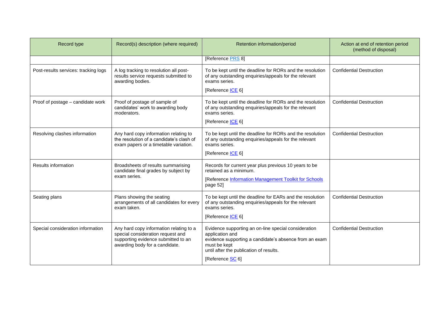| Record type                          | Record(s) description (where required)                                                                                                                | Retention information/period                                                                                                                                                                                     | Action at end of retention period<br>(method of disposal) |
|--------------------------------------|-------------------------------------------------------------------------------------------------------------------------------------------------------|------------------------------------------------------------------------------------------------------------------------------------------------------------------------------------------------------------------|-----------------------------------------------------------|
|                                      |                                                                                                                                                       | [Reference PRS 8]                                                                                                                                                                                                |                                                           |
| Post-results services: tracking logs | A log tracking to resolution all post-<br>results service requests submitted to<br>awarding bodies.                                                   | To be kept until the deadline for RORs and the resolution<br>of any outstanding enquiries/appeals for the relevant<br>exams series.<br>[Reference ICE 6]                                                         | <b>Confidential Destruction</b>                           |
| Proof of postage - candidate work    | Proof of postage of sample of<br>candidates' work to awarding body<br>moderators.                                                                     | To be kept until the deadline for RORs and the resolution<br>of any outstanding enquiries/appeals for the relevant<br>exams series.<br>[Reference <b>ICE 6]</b>                                                  | <b>Confidential Destruction</b>                           |
| Resolving clashes information        | Any hard copy information relating to<br>the resolution of a candidate's clash of<br>exam papers or a timetable variation.                            | To be kept until the deadline for RORs and the resolution<br>of any outstanding enquiries/appeals for the relevant<br>exams series.<br>[Reference <b>ICE</b> 6]                                                  | <b>Confidential Destruction</b>                           |
| <b>Results information</b>           | Broadsheets of results summarising<br>candidate final grades by subject by<br>exam series.                                                            | Records for current year plus previous 10 years to be<br>retained as a minimum.<br>[Reference Information Management Toolkit for Schools<br>page 52]                                                             |                                                           |
| Seating plans                        | Plans showing the seating<br>arrangements of all candidates for every<br>exam taken.                                                                  | To be kept until the deadline for EARs and the resolution<br>of any outstanding enquiries/appeals for the relevant<br>exams series.<br>[Reference <b>ICE</b> 6]                                                  | <b>Confidential Destruction</b>                           |
| Special consideration information    | Any hard copy information relating to a<br>special consideration request and<br>supporting evidence submitted to an<br>awarding body for a candidate. | Evidence supporting an on-line special consideration<br>application and<br>evidence supporting a candidate's absence from an exam<br>must be kept<br>until after the publication of results.<br>[Reference SC 6] | <b>Confidential Destruction</b>                           |